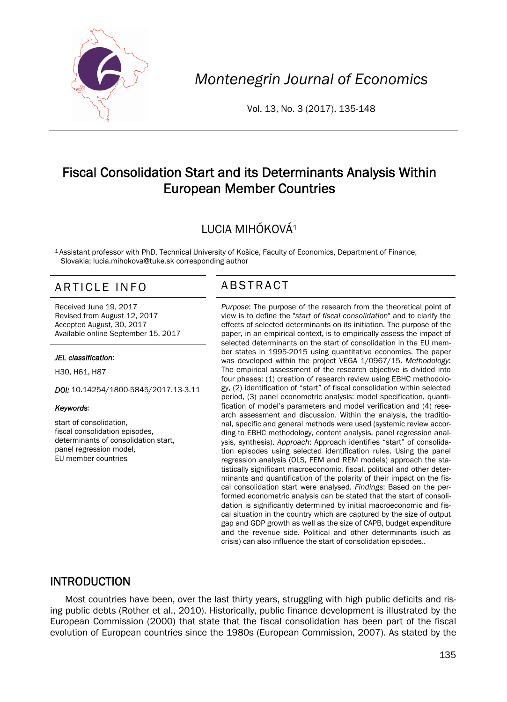

*Montenegrin Journal of Economics* 

Vol. 13, No. 3 (2017), 135-148

# Fiscal Consolidation Start and its Determinants Analysis Within European Member Countries

# LUCIA MIHÓKOVÁ1

1 Assistant professor with PhD, Technical University of Košice, Faculty of Economics, Department of Finance, Slovakia; lucia.mihokova@tuke.sk corresponding author

# ARTICLE INFO ABSTRACT

Received June 19, 2017 Revised from August 12, 2017 Accepted August, 30, 2017 Available online September 15, 2017

#### *JEL classification:*

H30, H61, H87

*DOI:* 10.14254/1800-5845/2017.13-3.11

#### *Keywords:*

start of consolidation, fiscal consolidation episodes, determinants of consolidation start. panel regression model, EU member countries

 *Purpose*: The purpose of the research from the theoretical point of view is to define the "*start of fiscal consolidation*" and to clarify the effects of selected determinants on its initiation. The purpose of the paper, in an empirical context, is to empirically assess the impact of selected determinants on the start of consolidation in the EU member states in 1995-2015 using quantitative economics. The paper was developed within the project VEGA 1/0967/15. *Methodology*: The empirical assessment of the research objective is divided into four phases: (1) creation of research review using EBHC methodology, (2) identification of "start" of fiscal consolidation within selected period, (3) panel econometric analysis: model specification, quantification of model's parameters and model verification and (4) research assessment and discussion. Within the analysis, the traditional, specific and general methods were used (systemic review according to EBHC methodology, content analysis, panel regression analysis, synthesis). *Approach*: Approach identifies "start" of consolidation episodes using selected identification rules. Using the panel regression analysis (OLS, FEM and REM models) approach the statistically significant macroeconomic, fiscal, political and other determinants and quantification of the polarity of their impact on the fiscal consolidation start were analysed. *Findings*: Based on the performed econometric analysis can be stated that the start of consolidation is significantly determined by initial macroeconomic and fiscal situation in the country which are captured by the size of output gap and GDP growth as well as the size of CAPB, budget expenditure and the revenue side. Political and other determinants (such as crisis) can also influence the start of consolidation episodes..

### INTRODUCTION

Most countries have been, over the last thirty years, struggling with high public deficits and rising public debts (Rother et al., 2010). Historically, public finance development is illustrated by the European Commission (2000) that state that the fiscal consolidation has been part of the fiscal evolution of European countries since the 1980s (European Commission, 2007). As stated by the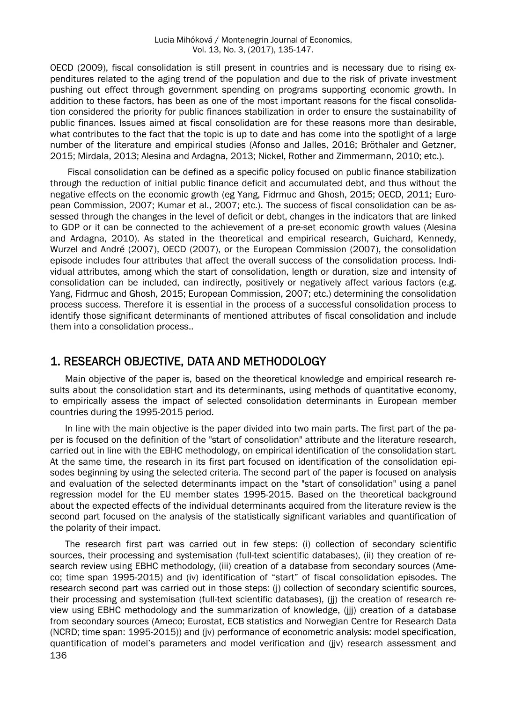OECD (2009), fiscal consolidation is still present in countries and is necessary due to rising expenditures related to the aging trend of the population and due to the risk of private investment pushing out effect through government spending on programs supporting economic growth. In addition to these factors, has been as one of the most important reasons for the fiscal consolidation considered the priority for public finances stabilization in order to ensure the sustainability of public finances. Issues aimed at fiscal consolidation are for these reasons more than desirable, what contributes to the fact that the topic is up to date and has come into the spotlight of a large number of the literature and empirical studies (Afonso and Jalles, 2016; Bröthaler and Getzner, 2015; Mirdala, 2013; Alesina and Ardagna, 2013; Nickel, Rother and Zimmermann, 2010; etc.).

Fiscal consolidation can be defined as a specific policy focused on public finance stabilization through the reduction of initial public finance deficit and accumulated debt, and thus without the negative effects on the economic growth (eg Yang, Fidrmuc and Ghosh, 2015; OECD, 2011; European Commission, 2007; Kumar et al., 2007; etc.). The success of fiscal consolidation can be assessed through the changes in the level of deficit or debt, changes in the indicators that are linked to GDP or it can be connected to the achievement of a pre-set economic growth values (Alesina and Ardagna, 2010). As stated in the theoretical and empirical research, Guichard, Kennedy, Wurzel and André (2007), OECD (2007), or the European Commission (2007), the consolidation episode includes four attributes that affect the overall success of the consolidation process. Individual attributes, among which the start of consolidation, length or duration, size and intensity of consolidation can be included, can indirectly, positively or negatively affect various factors (e.g. Yang, Fidrmuc and Ghosh, 2015; European Commission, 2007; etc.) determining the consolidation process success. Therefore it is essential in the process of a successful consolidation process to identify those significant determinants of mentioned attributes of fiscal consolidation and include them into a consolidation process..

#### 1. RESEARCH OBJECTIVE, DATA AND METHODOLOGY

Main objective of the paper is, based on the theoretical knowledge and empirical research results about the consolidation start and its determinants, using methods of quantitative economy, to empirically assess the impact of selected consolidation determinants in European member countries during the 1995-2015 period.

In line with the main objective is the paper divided into two main parts. The first part of the paper is focused on the definition of the "start of consolidation" attribute and the literature research, carried out in line with the EBHC methodology, on empirical identification of the consolidation start. At the same time, the research in its first part focused on identification of the consolidation episodes beginning by using the selected criteria. The second part of the paper is focused on analysis and evaluation of the selected determinants impact on the "start of consolidation" using a panel regression model for the EU member states 1995-2015. Based on the theoretical background about the expected effects of the individual determinants acquired from the literature review is the second part focused on the analysis of the statistically significant variables and quantification of the polarity of their impact.

136 The research first part was carried out in few steps: (i) collection of secondary scientific sources, their processing and systemisation (full-text scientific databases), (ii) they creation of research review using EBHC methodology, (iii) creation of a database from secondary sources (Ameco; time span 1995-2015) and (iv) identification of "start" of fiscal consolidation episodes. The research second part was carried out in those steps: (j) collection of secondary scientific sources, their processing and systemisation (full-text scientific databases), (jj) the creation of research review using EBHC methodology and the summarization of knowledge, (jjj) creation of a database from secondary sources (Ameco; Eurostat, ECB statistics and Norwegian Centre for Research Data (NCRD; time span: 1995-2015)) and (jv) performance of econometric analysis: model specification, quantification of model's parameters and model verification and (jjv) research assessment and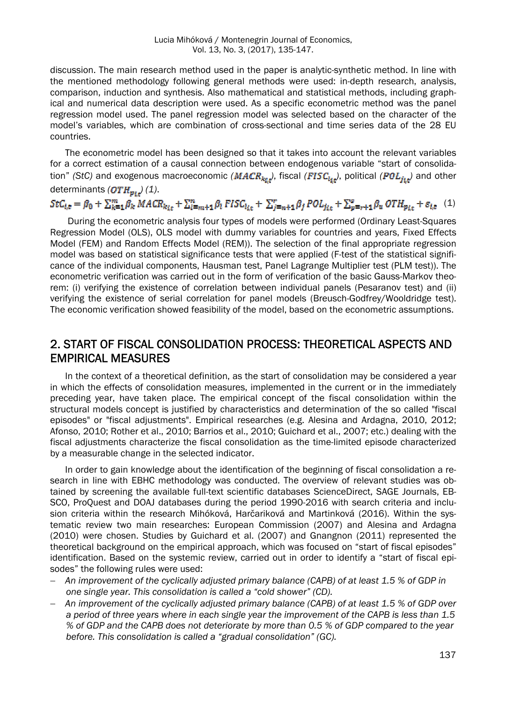discussion. The main research method used in the paper is analytic-synthetic method. In line with the mentioned methodology following general methods were used: in-depth research, analysis, comparison, induction and synthesis. Also mathematical and statistical methods, including graphical and numerical data description were used. As a specific econometric method was the panel regression model used. The panel regression model was selected based on the character of the model's variables, which are combination of cross-sectional and time series data of the 28 EU countries.

The econometric model has been designed so that it takes into account the relevant variables for a correct estimation of a causal connection between endogenous variable "start of consolidation" *(StC)* and exogenous macroeconomic *(MACR<sub>kir</sub>)*, fiscal *(FISC<sub>lir</sub>)*, political *(POL<sub>irr</sub>)* and other determinants  $(\text{OTH}_{p_{i,t}})$  (1).

# $StC_{i,\mathfrak{v}} = \beta_0 + \sum_{k=1}^m \beta_k MACR_{k_{1\mathfrak{v}}} + \sum_{l=m+1}^n \beta_l FISC_{l_{l,\mathfrak{v}}} + \sum_{j=n+1}^r \beta_j POL_{j_{l,\mathfrak{v}}} + \sum_{p=r+1}^s \beta_w OTH_{p_{l,\mathfrak{v}}} + \varepsilon_{i,\mathfrak{v}}$ (1)

During the econometric analysis four types of models were performed (Ordinary Least-Squares Regression Model (OLS), OLS model with dummy variables for countries and years, Fixed Effects Model (FEM) and Random Effects Model (REM)). The selection of the final appropriate regression model was based on statistical significance tests that were applied (F-test of the statistical significance of the individual components, Hausman test, Panel Lagrange Multiplier test (PLM test)). The econometric verification was carried out in the form of verification of the basic Gauss-Markov theorem: (i) verifying the existence of correlation between individual panels (Pesaranov test) and (ii) verifying the existence of serial correlation for panel models (Breusch-Godfrey/Wooldridge test). The economic verification showed feasibility of the model, based on the econometric assumptions.

## 2. START OF FISCAL CONSOLIDATION PROCESS: THEORETICAL ASPECTS AND EMPIRICAL MEASURES

In the context of a theoretical definition, as the start of consolidation may be considered a year in which the effects of consolidation measures, implemented in the current or in the immediately preceding year, have taken place. The empirical concept of the fiscal consolidation within the structural models concept is justified by characteristics and determination of the so called "fiscal episodes" or "fiscal adjustments". Empirical researches (e.g. Alesina and Ardagna, 2010, 2012; Afonso, 2010; Rother et al., 2010; Barrios et al., 2010; Guichard et al., 2007; etc.) dealing with the fiscal adjustments characterize the fiscal consolidation as the time-limited episode characterized by a measurable change in the selected indicator.

In order to gain knowledge about the identification of the beginning of fiscal consolidation a research in line with EBHC methodology was conducted. The overview of relevant studies was obtained by screening the available full-text scientific databases ScienceDirect, SAGE Journals, EB-SCO, ProQuest and DOAJ databases during the period 1990-2016 with search criteria and inclusion criteria within the research Mihóková, Harčariková and Martinková (2016). Within the systematic review two main researches: European Commission (2007) and Alesina and Ardagna (2010) were chosen. Studies by Guichard et al. (2007) and Gnangnon (2011) represented the theoretical background on the empirical approach, which was focused on "start of fiscal episodes" identification. Based on the systemic review, carried out in order to identify a "start of fiscal episodes" the following rules were used:

- *An improvement of the cyclically adjusted primary balance (CAPB) of at least 1.5 % of GDP in one single year. This consolidation is called a "cold shower" (CD).*
- *An improvement of the cyclically adjusted primary balance (CAPB) of at least 1.5 % of GDP over a period of three years where in each single year the improvement of the CAPB is less than 1.5 % of GDP and the CAPB does not deteriorate by more than 0.5 % of GDP compared to the year before. This consolidation is called a "gradual consolidation" (GC).*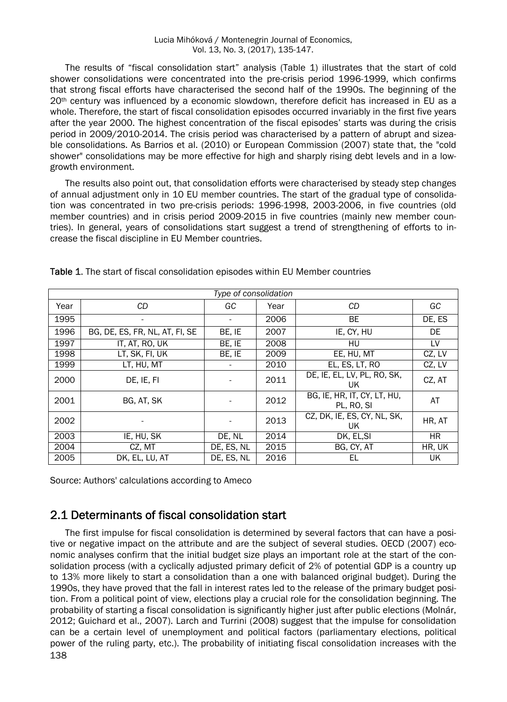The results of "fiscal consolidation start" analysis (Table 1) illustrates that the start of cold shower consolidations were concentrated into the pre-crisis period 1996-1999, which confirms that strong fiscal efforts have characterised the second half of the 1990s. The beginning of the  $20<sup>th</sup>$  century was influenced by a economic slowdown, therefore deficit has increased in EU as a whole. Therefore, the start of fiscal consolidation episodes occurred invariably in the first five years after the year 2000. The highest concentration of the fiscal episodes' starts was during the crisis period in 2009/2010-2014. The crisis period was characterised by a pattern of abrupt and sizeable consolidations. As Barrios et al. (2010) or European Commission (2007) state that, the "cold shower" consolidations may be more effective for high and sharply rising debt levels and in a lowgrowth environment.

The results also point out, that consolidation efforts were characterised by steady step changes of annual adjustment only in 10 EU member countries. The start of the gradual type of consolidation was concentrated in two pre-crisis periods: 1996-1998, 2003-2006, in five countries (old member countries) and in crisis period 2009-2015 in five countries (mainly new member countries). In general, years of consolidations start suggest a trend of strengthening of efforts to increase the fiscal discipline in EU Member countries.

| Type of consolidation |                                |            |      |                                           |        |  |
|-----------------------|--------------------------------|------------|------|-------------------------------------------|--------|--|
| Year                  | CD.                            | GC         | Year | CD.                                       | GC     |  |
| 1995                  | -                              | -          | 2006 | BE.                                       | DE, ES |  |
| 1996                  | BG, DE, ES, FR, NL, AT, FI, SE | BE, IE     | 2007 | IE, CY, HU                                | DE     |  |
| 1997                  | IT, AT, RO, UK                 | BE, IE     | 2008 | HU                                        | LV     |  |
| 1998                  | LT, SK, FI, UK                 | BE, IE     | 2009 | EE, HU, MT                                | CZ, LV |  |
| 1999                  | LT, HU, MT                     |            | 2010 | EL, ES, LT, RO                            | CZ, LV |  |
| 2000                  | DE, IE, FI                     |            | 2011 | DE, IE, EL, LV, PL, RO, SK,<br>UK         | CZ, AT |  |
| 2001                  | BG, AT, SK                     |            | 2012 | BG, IE, HR, IT, CY, LT, HU,<br>PL, RO, SI | AT     |  |
| 2002                  |                                |            | 2013 | CZ, DK, IE, ES, CY, NL, SK,<br>UK         | HR, AT |  |
| 2003                  | IE, HU, SK                     | DE, NL     | 2014 | DK, EL, SI                                | HR.    |  |
| 2004                  | CZ, MT                         | DE, ES, NL | 2015 | BG, CY, AT                                | HR, UK |  |
| 2005                  | DK, EL, LU, AT                 | DE, ES, NL | 2016 | EL                                        | UK     |  |

Table 1. The start of fiscal consolidation episodes within EU Member countries

Source: Authors' calculations according to Ameco

## 2.1 Determinants of fiscal consolidation start

138 The first impulse for fiscal consolidation is determined by several factors that can have a positive or negative impact on the attribute and are the subject of several studies. OECD (2007) economic analyses confirm that the initial budget size plays an important role at the start of the consolidation process (with a cyclically adjusted primary deficit of 2% of potential GDP is a country up to 13% more likely to start a consolidation than a one with balanced original budget). During the 1990s, they have proved that the fall in interest rates led to the release of the primary budget position. From a political point of view, elections play a crucial role for the consolidation beginning. The probability of starting a fiscal consolidation is significantly higher just after public elections (Molnár, 2012; Guichard et al., 2007). Larch and Turrini (2008) suggest that the impulse for consolidation can be a certain level of unemployment and political factors (parliamentary elections, political power of the ruling party, etc.). The probability of initiating fiscal consolidation increases with the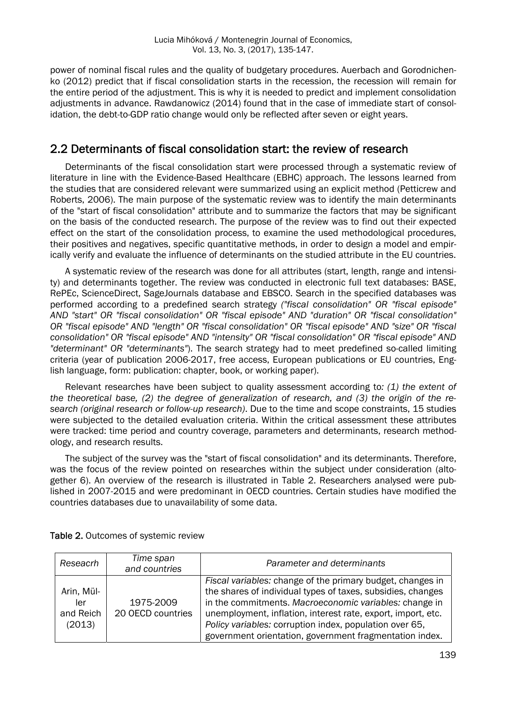power of nominal fiscal rules and the quality of budgetary procedures. Auerbach and Gorodnichenko (2012) predict that if fiscal consolidation starts in the recession, the recession will remain for the entire period of the adjustment. This is why it is needed to predict and implement consolidation adjustments in advance. Rawdanowicz (2014) found that in the case of immediate start of consolidation, the debt-to-GDP ratio change would only be reflected after seven or eight years.

#### 2.2 Determinants of fiscal consolidation start: the review of research

Determinants of the fiscal consolidation start were processed through a systematic review of literature in line with the Evidence-Based Healthcare (EBHC) approach. The lessons learned from the studies that are considered relevant were summarized using an explicit method (Petticrew and Roberts, 2006). The main purpose of the systematic review was to identify the main determinants of the "start of fiscal consolidation" attribute and to summarize the factors that may be significant on the basis of the conducted research. The purpose of the review was to find out their expected effect on the start of the consolidation process, to examine the used methodological procedures, their positives and negatives, specific quantitative methods, in order to design a model and empirically verify and evaluate the influence of determinants on the studied attribute in the EU countries.

A systematic review of the research was done for all attributes (start, length, range and intensity) and determinants together. The review was conducted in electronic full text databases: BASE, RePEc, ScienceDirect, SageJournals database and EBSCO. Search in the specified databases was performed according to a predefined search strategy *("fiscal consolidation" OR "fiscal episode" AND "start" OR "fiscal consolidation" OR "fiscal episode" AND "duration" OR "fiscal consolidation" OR "fiscal episode" AND "length" OR "fiscal consolidation" OR "fiscal episode" AND "size" OR "fiscal consolidation" OR "fiscal episode" AND "intensity" OR "fiscal consolidation" OR "fiscal episode" AND "determinant" OR "determinants"*). The search strategy had to meet predefined so-called limiting criteria (year of publication 2006-2017, free access, European publications or EU countries, English language, form: publication: chapter, book, or working paper).

Relevant researches have been subject to quality assessment according to*: (1) the extent of the theoretical base, (2) the degree of generalization of research, and (3) the origin of the research (original research or follow-up research)*. Due to the time and scope constraints, 15 studies were subjected to the detailed evaluation criteria. Within the critical assessment these attributes were tracked: time period and country coverage, parameters and determinants, research methodology, and research results.

The subject of the survey was the "start of fiscal consolidation" and its determinants. Therefore, was the focus of the review pointed on researches within the subject under consideration (altogether 6). An overview of the research is illustrated in Table 2. Researchers analysed were published in 2007-2015 and were predominant in OECD countries. Certain studies have modified the countries databases due to unavailability of some data.

| Reseacrh                       | Time span<br>and countries     | Parameter and determinants                                                                                                                                                                                                                          |  |
|--------------------------------|--------------------------------|-----------------------------------------------------------------------------------------------------------------------------------------------------------------------------------------------------------------------------------------------------|--|
| Arin, Mül-<br>ler<br>and Reich | 1975-2009<br>20 OECD countries | Fiscal variables: change of the primary budget, changes in<br>the shares of individual types of taxes, subsidies, changes<br>in the commitments. Macroeconomic variables: change in<br>unemployment, inflation, interest rate, export, import, etc. |  |
| (2013)                         |                                | Policy variables: corruption index, population over 65,<br>government orientation, government fragmentation index.                                                                                                                                  |  |

Table 2. Outcomes of systemic review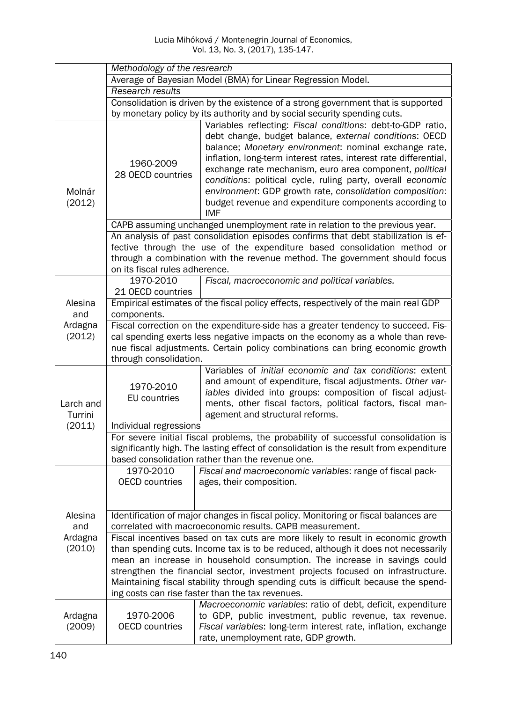|                      | Methodology of the resrearch                                                                                                                                                                                                                                                   |                                                                                                                                                                                                                                                                                                                                                                                                                                                                                                                  |  |  |  |
|----------------------|--------------------------------------------------------------------------------------------------------------------------------------------------------------------------------------------------------------------------------------------------------------------------------|------------------------------------------------------------------------------------------------------------------------------------------------------------------------------------------------------------------------------------------------------------------------------------------------------------------------------------------------------------------------------------------------------------------------------------------------------------------------------------------------------------------|--|--|--|
|                      | Average of Bayesian Model (BMA) for Linear Regression Model.                                                                                                                                                                                                                   |                                                                                                                                                                                                                                                                                                                                                                                                                                                                                                                  |  |  |  |
|                      | Research results                                                                                                                                                                                                                                                               |                                                                                                                                                                                                                                                                                                                                                                                                                                                                                                                  |  |  |  |
|                      |                                                                                                                                                                                                                                                                                | Consolidation is driven by the existence of a strong government that is supported                                                                                                                                                                                                                                                                                                                                                                                                                                |  |  |  |
|                      |                                                                                                                                                                                                                                                                                | by monetary policy by its authority and by social security spending cuts.                                                                                                                                                                                                                                                                                                                                                                                                                                        |  |  |  |
| Molnár<br>(2012)     | 1960-2009<br>28 OECD countries                                                                                                                                                                                                                                                 | Variables reflecting: Fiscal conditions: debt-to-GDP ratio,<br>debt change, budget balance, external conditions: OECD<br>balance; Monetary environment: nominal exchange rate,<br>inflation, long-term interest rates, interest rate differential,<br>exchange rate mechanism, euro area component, political<br>conditions: political cycle, ruling party, overall economic<br>environment: GDP growth rate, consolidation composition:<br>budget revenue and expenditure components according to<br><b>IMF</b> |  |  |  |
|                      | CAPB assuming unchanged unemployment rate in relation to the previous year.                                                                                                                                                                                                    |                                                                                                                                                                                                                                                                                                                                                                                                                                                                                                                  |  |  |  |
|                      | An analysis of past consolidation episodes confirms that debt stabilization is ef-<br>fective through the use of the expenditure based consolidation method or<br>through a combination with the revenue method. The government should focus<br>on its fiscal rules adherence. |                                                                                                                                                                                                                                                                                                                                                                                                                                                                                                                  |  |  |  |
|                      | 1970-2010<br>21 OECD countries                                                                                                                                                                                                                                                 | Fiscal, macroeconomic and political variables.                                                                                                                                                                                                                                                                                                                                                                                                                                                                   |  |  |  |
| Alesina<br>and       | Empirical estimates of the fiscal policy effects, respectively of the main real GDP<br>components.                                                                                                                                                                             |                                                                                                                                                                                                                                                                                                                                                                                                                                                                                                                  |  |  |  |
| Ardagna              | Fiscal correction on the expenditure-side has a greater tendency to succeed. Fis-                                                                                                                                                                                              |                                                                                                                                                                                                                                                                                                                                                                                                                                                                                                                  |  |  |  |
| (2012)               | cal spending exerts less negative impacts on the economy as a whole than reve-<br>nue fiscal adjustments. Certain policy combinations can bring economic growth<br>through consolidation.                                                                                      |                                                                                                                                                                                                                                                                                                                                                                                                                                                                                                                  |  |  |  |
| Larch and<br>Turrini | 1970-2010<br>EU countries                                                                                                                                                                                                                                                      | Variables of initial economic and tax conditions: extent<br>and amount of expenditure, fiscal adjustments. Other var-<br>iables divided into groups: composition of fiscal adjust-<br>ments, other fiscal factors, political factors, fiscal man-<br>agement and structural reforms.                                                                                                                                                                                                                             |  |  |  |
| (2011)               | Individual regressions                                                                                                                                                                                                                                                         |                                                                                                                                                                                                                                                                                                                                                                                                                                                                                                                  |  |  |  |
|                      | For severe initial fiscal problems, the probability of successful consolidation is<br>significantly high. The lasting effect of consolidation is the result from expenditure<br>based consolidation rather than the revenue one.                                               |                                                                                                                                                                                                                                                                                                                                                                                                                                                                                                                  |  |  |  |
|                      | 1970-2010<br><b>OECD</b> countries                                                                                                                                                                                                                                             | Fiscal and macroeconomic variables: range of fiscal pack-<br>ages, their composition.                                                                                                                                                                                                                                                                                                                                                                                                                            |  |  |  |
|                      |                                                                                                                                                                                                                                                                                |                                                                                                                                                                                                                                                                                                                                                                                                                                                                                                                  |  |  |  |
| Alesina<br>and       | Identification of major changes in fiscal policy. Monitoring or fiscal balances are<br>correlated with macroeconomic results. CAPB measurement.                                                                                                                                |                                                                                                                                                                                                                                                                                                                                                                                                                                                                                                                  |  |  |  |
| Ardagna              | Fiscal incentives based on tax cuts are more likely to result in economic growth                                                                                                                                                                                               |                                                                                                                                                                                                                                                                                                                                                                                                                                                                                                                  |  |  |  |
| (2010)               | than spending cuts. Income tax is to be reduced, although it does not necessarily                                                                                                                                                                                              |                                                                                                                                                                                                                                                                                                                                                                                                                                                                                                                  |  |  |  |
|                      | mean an increase in household consumption. The increase in savings could                                                                                                                                                                                                       |                                                                                                                                                                                                                                                                                                                                                                                                                                                                                                                  |  |  |  |
|                      | strengthen the financial sector, investment projects focused on infrastructure.                                                                                                                                                                                                |                                                                                                                                                                                                                                                                                                                                                                                                                                                                                                                  |  |  |  |
|                      | Maintaining fiscal stability through spending cuts is difficult because the spend-<br>ing costs can rise faster than the tax revenues.                                                                                                                                         |                                                                                                                                                                                                                                                                                                                                                                                                                                                                                                                  |  |  |  |
|                      |                                                                                                                                                                                                                                                                                | Macroeconomic variables: ratio of debt, deficit, expenditure                                                                                                                                                                                                                                                                                                                                                                                                                                                     |  |  |  |
| Ardagna<br>(2009)    | 1970-2006<br><b>OECD</b> countries                                                                                                                                                                                                                                             | to GDP, public investment, public revenue, tax revenue.<br>Fiscal variables: long-term interest rate, inflation, exchange<br>rate, unemployment rate, GDP growth.                                                                                                                                                                                                                                                                                                                                                |  |  |  |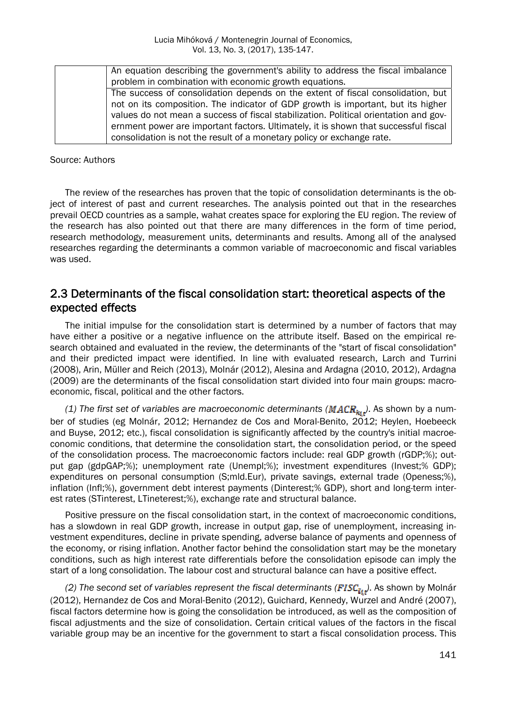| An equation describing the government's ability to address the fiscal imbalance      |
|--------------------------------------------------------------------------------------|
| problem in combination with economic growth equations.                               |
| The success of consolidation depends on the extent of fiscal consolidation, but      |
| not on its composition. The indicator of GDP growth is important, but its higher     |
| values do not mean a success of fiscal stabilization. Political orientation and gov- |
| ernment power are important factors. Ultimately, it is shown that successful fiscal  |
| consolidation is not the result of a monetary policy or exchange rate.               |

Source: Authors

The review of the researches has proven that the topic of consolidation determinants is the object of interest of past and current researches. The analysis pointed out that in the researches prevail OECD countries as a sample, wahat creates space for exploring the EU region. The review of the research has also pointed out that there are many differences in the form of time period, research methodology, measurement units, determinants and results. Among all of the analysed researches regarding the determinants a common variable of macroeconomic and fiscal variables was used.

### 2.3 Determinants of the fiscal consolidation start: theoretical aspects of the expected effects

The initial impulse for the consolidation start is determined by a number of factors that may have either a positive or a negative influence on the attribute itself. Based on the empirical research obtained and evaluated in the review, the determinants of the "start of fiscal consolidation" and their predicted impact were identified. In line with evaluated research, Larch and Turrini (2008), Arin, Müller and Reich (2013), Molnár (2012), Alesina and Ardagna (2010, 2012), Ardagna (2009) are the determinants of the fiscal consolidation start divided into four main groups: macroeconomic, fiscal, political and the other factors.

*(1) The first set of variables are macroeconomic determinants*  $(MACR_{k,i})$ *. As shown by a num*ber of studies (eg Molnár, 2012; Hernandez de Cos and Moral-Benito, 2012; Heylen, Hoebeeck and Buyse, 2012; etc.), fiscal consolidation is significantly affected by the country's initial macroeconomic conditions, that determine the consolidation start, the consolidation period, or the speed of the consolidation process. The macroeconomic factors include: real GDP growth (rGDP;%); output gap (gdpGAP;%); unemployment rate (Unempl;%); investment expenditures (Invest;% GDP); expenditures on personal consumption (S;mld.Eur), private savings, external trade (Openess;%), inflation (Infl;%), government debt interest payments (Dinterest;% GDP), short and long-term interest rates (STinterest, LTineterest;%), exchange rate and structural balance.

Positive pressure on the fiscal consolidation start, in the context of macroeconomic conditions, has a slowdown in real GDP growth, increase in output gap, rise of unemployment, increasing investment expenditures, decline in private spending, adverse balance of payments and openness of the economy, or rising inflation. Another factor behind the consolidation start may be the monetary conditions, such as high interest rate differentials before the consolidation episode can imply the start of a long consolidation. The labour cost and structural balance can have a positive effect.

*(2) The second set of variables represent the fiscal determinants (FISC<sub>kir</sub>). As shown by Molnár* (2012), Hernandez de Cos and Moral-Benito (2012), Guichard, Kennedy, Wurzel and André (2007), fiscal factors determine how is going the consolidation be introduced, as well as the composition of fiscal adjustments and the size of consolidation. Certain critical values of the factors in the fiscal variable group may be an incentive for the government to start a fiscal consolidation process. This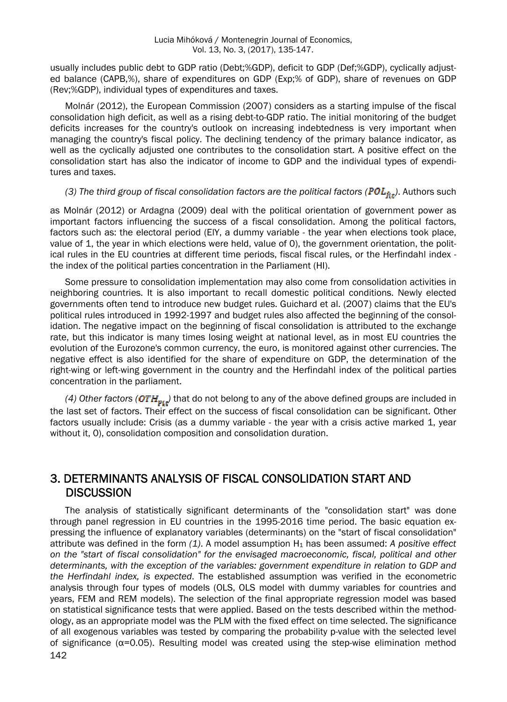usually includes public debt to GDP ratio (Debt;%GDP), deficit to GDP (Def;%GDP), cyclically adjusted balance (CAPB,%), share of expenditures on GDP (Exp;% of GDP), share of revenues on GDP (Rev;%GDP), individual types of expenditures and taxes.

Molnár (2012), the European Commission (2007) considers as a starting impulse of the fiscal consolidation high deficit, as well as a rising debt-to-GDP ratio. The initial monitoring of the budget deficits increases for the country's outlook on increasing indebtedness is very important when managing the country's fiscal policy. The declining tendency of the primary balance indicator, as well as the cyclically adjusted one contributes to the consolidation start. A positive effect on the consolidation start has also the indicator of income to GDP and the individual types of expenditures and taxes.

## *(3) The third group of fiscal consolidation factors are the political factors (* $POL_{\tilde{f}it}$ *). Authors such*

as Molnár (2012) or Ardagna (2009) deal with the political orientation of government power as important factors influencing the success of a fiscal consolidation. Among the political factors, factors such as: the electoral period (ElY, a dummy variable - the year when elections took place, value of 1, the year in which elections were held, value of 0), the government orientation, the political rules in the EU countries at different time periods, fiscal fiscal rules, or the Herfindahl index the index of the political parties concentration in the Parliament (HI).

Some pressure to consolidation implementation may also come from consolidation activities in neighboring countries. It is also important to recall domestic political conditions. Newly elected governments often tend to introduce new budget rules. Guichard et al. (2007) claims that the EU's political rules introduced in 1992-1997 and budget rules also affected the beginning of the consolidation. The negative impact on the beginning of fiscal consolidation is attributed to the exchange rate, but this indicator is many times losing weight at national level, as in most EU countries the evolution of the Eurozone's common currency, the euro, is monitored against other currencies. The negative effect is also identified for the share of expenditure on GDP, the determination of the right-wing or left-wing government in the country and the Herfindahl index of the political parties concentration in the parliament.

*(4)* Other factors  $(OTH_{pi_k})$  that do not belong to any of the above defined groups are included in the last set of factors. Their effect on the success of fiscal consolidation can be significant. Other factors usually include: Crisis (as a dummy variable - the year with a crisis active marked 1, year without it, 0), consolidation composition and consolidation duration.

#### 3. DETERMINANTS ANALYSIS OF FISCAL CONSOLIDATION START AND **DISCUSSION**

142 The analysis of statistically significant determinants of the "consolidation start" was done through panel regression in EU countries in the 1995-2016 time period. The basic equation expressing the influence of explanatory variables (determinants) on the "start of fiscal consolidation" attribute was defined in the form *(1)*. A model assumption H1 has been assumed: *A positive effect on the "start of fiscal consolidation" for the envisaged macroeconomic, fiscal, political and other determinants, with the exception of the variables: government expenditure in relation to GDP and the Herfindahl index, is expected*. The established assumption was verified in the econometric analysis through four types of models (OLS, OLS model with dummy variables for countries and years, FEM and REM models). The selection of the final appropriate regression model was based on statistical significance tests that were applied. Based on the tests described within the methodology, as an appropriate model was the PLM with the fixed effect on time selected. The significance of all exogenous variables was tested by comparing the probability p-value with the selected level of significance ( $\alpha$ =0.05). Resulting model was created using the step-wise elimination method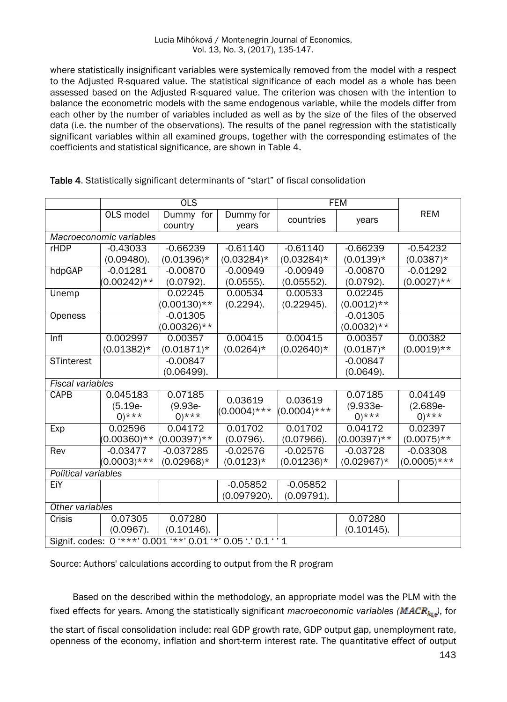#### Lucia Mihóková / Montenegrin Journal of Economics, Vol. 13, No. 3, (2017), 135-147.

where statistically insignificant variables were systemically removed from the model with a respect to the Adjusted R-squared value. The statistical significance of each model as a whole has been assessed based on the Adjusted R-squared value. The criterion was chosen with the intention to balance the econometric models with the same endogenous variable, while the models differ from each other by the number of variables included as well as by the size of the files of the observed data (i.e. the number of the observations). The results of the panel regression with the statistically significant variables within all examined groups, together with the corresponding estimates of the coefficients and statistical significance, are shown in Table 4.

|                                                               | $\overline{OLS}$        |                      | <b>FEM</b>         |                |                    |                    |
|---------------------------------------------------------------|-------------------------|----------------------|--------------------|----------------|--------------------|--------------------|
|                                                               | OLS model               | Dummy for<br>country | Dummy for<br>years | countries      | years              | <b>REM</b>         |
| Macroeconomic variables                                       |                         |                      |                    |                |                    |                    |
| <b>rHDP</b>                                                   | $-0.43033$              | $-0.66239$           | $-0.61140$         | $-0.61140$     | $-0.66239$         | $-0.54232$         |
|                                                               | (0.09480).              | $(0.01396)*$         | $(0.03284)^*$      | $(0.03284)^*$  | $(0.0139)*$        | $(0.0387)^*$       |
| hdpGAP                                                        | $-0.01281$              | $-0.00870$           | $-0.00949$         | $-0.00949$     | $-0.00870$         | $-0.01292$         |
|                                                               | $(0.00242)$ **          | $(0.0792)$ .         | $(0.0555)$ .       | (0.05552).     | $(0.0792)$ .       | $(0.0027)$ **      |
| Unemp                                                         |                         | 0.02245              | 0.00534            | 0.00533        | 0.02245            |                    |
|                                                               |                         | $(0.00130)**$        | (0.2294).          | (0.22945).     | $(0.0012)$ **      |                    |
| Openess                                                       |                         | $-0.01305$           |                    |                | $-0.01305$         |                    |
|                                                               |                         | $(0.00326)$ **       |                    |                | $(0.0032)$ **      |                    |
| Infl                                                          | 0.002997                | 0.00357              | 0.00415            | 0.00415        | 0.00357            | 0.00382            |
|                                                               | $(0.01382)^*$           | $(0.01871)^*$        | $(0.0264)*$        | $(0.02640)*$   | $(0.0187)^*$       | $(0.0019)**$       |
| <b>STinterest</b>                                             |                         | $-0.00847$           |                    |                | $-0.00847$         |                    |
|                                                               |                         | (0.06499).           |                    |                | (0.0649).          |                    |
|                                                               | <b>Fiscal variables</b> |                      |                    |                |                    |                    |
| <b>CAPB</b>                                                   | 0.045183                | 0.07185              | 0.03619            | 0.03619        | 0.07185            | 0.04149            |
|                                                               | $(5.19e -$              | $(9.93e -$           | $(0.0004)$ ***     | $(0.0004)$ *** | $(9.933e -$        | $(2.689e -$        |
|                                                               | $0$ <sup>***</sup>      | $0$ <sup>***</sup>   |                    |                | $0$ <sup>***</sup> | $0$ <sup>***</sup> |
| Exp                                                           | 0.02596                 | 0.04172              | 0.01702            | 0.01702        | 0.04172            | 0.02397            |
|                                                               | $(0.00360)**$           | $(0.00397)$ **       | (0.0796).          | (0.07966).     | $(0.00397)$ **     | $(0.0075)$ **      |
| Rev                                                           | $-0.03477$              | $-0.037285$          | $-0.02576$         | $-0.02576$     | $-0.03728$         | $-0.03308$         |
|                                                               | $(0.0003)$ ***          | $(0.02968)*$         | $(0.0123)*$        | $(0.01236)^*$  | $(0.02967)^*$      | $(0.0005)$ ***     |
| Political variables                                           |                         |                      |                    |                |                    |                    |
| EiY                                                           |                         |                      | $-0.05852$         | $-0.05852$     |                    |                    |
|                                                               |                         |                      | (0.097920).        | $(0.09791)$ .  |                    |                    |
| Other variables                                               |                         |                      |                    |                |                    |                    |
| Crisis                                                        | 0.07305                 | 0.07280              |                    |                | 0.07280            |                    |
|                                                               | $(0.0967)$ .            | (0.10146).           |                    |                | (0.10145).         |                    |
| Signif. codes: 0 '***' 0.001 '**' 0.01 '*' 0.05 '.' 0.1 ' ' 1 |                         |                      |                    |                |                    |                    |

Table 4. Statistically significant determinants of "start" of fiscal consolidation

Source: Authors' calculations according to output from the R program

Based on the described within the methodology, an appropriate model was the PLM with the fixed effects for years. Among the statistically significant *macroeconomic variables* ( $MACR_{ki}$ ), for

the start of fiscal consolidation include: real GDP growth rate, GDP output gap, unemployment rate, openness of the economy, inflation and short-term interest rate. The quantitative effect of output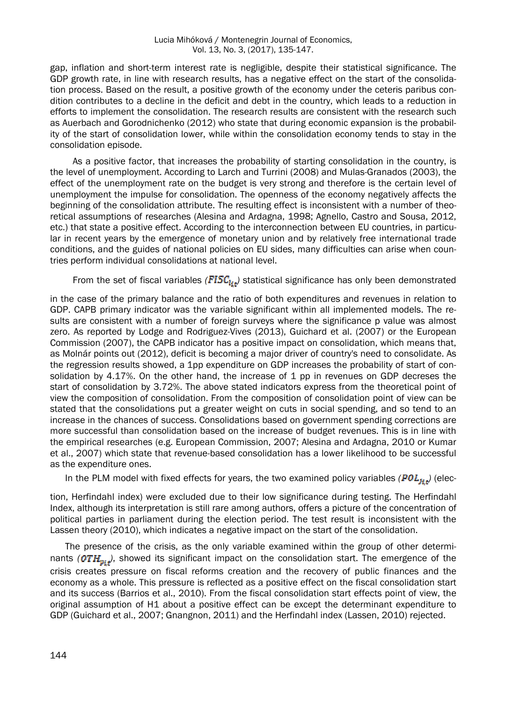gap, inflation and short-term interest rate is negligible, despite their statistical significance. The GDP growth rate, in line with research results, has a negative effect on the start of the consolidation process. Based on the result, a positive growth of the economy under the ceteris paribus condition contributes to a decline in the deficit and debt in the country, which leads to a reduction in efforts to implement the consolidation. The research results are consistent with the research such as Auerbach and Gorodnichenko (2012) who state that during economic expansion is the probability of the start of consolidation lower, while within the consolidation economy tends to stay in the consolidation episode.

As a positive factor, that increases the probability of starting consolidation in the country, is the level of unemployment. According to Larch and Turrini (2008) and Mulas-Granados (2003), the effect of the unemployment rate on the budget is very strong and therefore is the certain level of unemployment the impulse for consolidation. The openness of the economy negatively affects the beginning of the consolidation attribute. The resulting effect is inconsistent with a number of theoretical assumptions of researches (Alesina and Ardagna, 1998; Agnello, Castro and Sousa, 2012, etc.) that state a positive effect. According to the interconnection between EU countries, in particular in recent years by the emergence of monetary union and by relatively free international trade conditions, and the guides of national policies on EU sides, many difficulties can arise when countries perform individual consolidations at national level.

From the set of fiscal variables  $(FISC_{i_{\xi}t})$  statistical significance has only been demonstrated

in the case of the primary balance and the ratio of both expenditures and revenues in relation to GDP. CAPB primary indicator was the variable significant within all implemented models. The results are consistent with a number of foreign surveys where the significance p value was almost zero. As reported by Lodge and Rodriguez-Vives (2013), Guichard et al. (2007) or the European Commission (2007), the CAPB indicator has a positive impact on consolidation, which means that, as Molnár points out (2012), deficit is becoming a major driver of country's need to consolidate. As the regression results showed, a 1pp expenditure on GDP increases the probability of start of consolidation by 4.17%. On the other hand, the increase of 1 pp in revenues on GDP decreses the start of consolidation by 3.72%. The above stated indicators express from the theoretical point of view the composition of consolidation. From the composition of consolidation point of view can be stated that the consolidations put a greater weight on cuts in social spending, and so tend to an increase in the chances of success. Consolidations based on government spending corrections are more successful than consolidation based on the increase of budget revenues. This is in line with the empirical researches (e.g. European Commission, 2007; Alesina and Ardagna, 2010 or Kumar et al., 2007) which state that revenue-based consolidation has a lower likelihood to be successful as the expenditure ones.

In the PLM model with fixed effects for years, the two examined policy variables  $(POL_{1:t})$  (elec-

tion, Herfindahl index) were excluded due to their low significance during testing. The Herfindahl Index, although its interpretation is still rare among authors, offers a picture of the concentration of political parties in parliament during the election period. The test result is inconsistent with the Lassen theory (2010), which indicates a negative impact on the start of the consolidation.

The presence of the crisis, as the only variable examined within the group of other determinants ( $\text{OTH}_{\text{min}}$ ), showed its significant impact on the consolidation start. The emergence of the crisis creates pressure on fiscal reforms creation and the recovery of public finances and the economy as a whole. This pressure is reflected as a positive effect on the fiscal consolidation start and its success (Barrios et al., 2010). From the fiscal consolidation start effects point of view, the original assumption of H1 about a positive effect can be except the determinant expenditure to GDP (Guichard et al., 2007; Gnangnon, 2011) and the Herfindahl index (Lassen, 2010) rejected.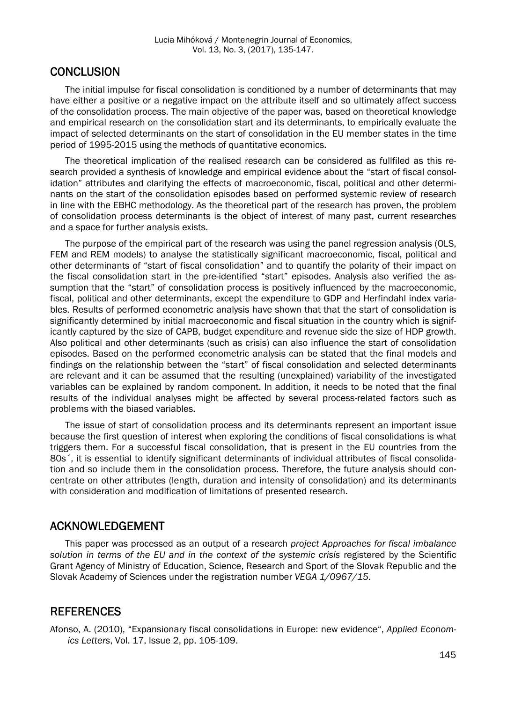#### **CONCLUSION**

The initial impulse for fiscal consolidation is conditioned by a number of determinants that may have either a positive or a negative impact on the attribute itself and so ultimately affect success of the consolidation process. The main objective of the paper was, based on theoretical knowledge and empirical research on the consolidation start and its determinants, to empirically evaluate the impact of selected determinants on the start of consolidation in the EU member states in the time period of 1995-2015 using the methods of quantitative economics.

The theoretical implication of the realised research can be considered as fullfiled as this research provided a synthesis of knowledge and empirical evidence about the "start of fiscal consolidation" attributes and clarifying the effects of macroeconomic, fiscal, political and other determinants on the start of the consolidation episodes based on performed systemic review of research in line with the EBHC methodology. As the theoretical part of the research has proven, the problem of consolidation process determinants is the object of interest of many past, current researches and a space for further analysis exists.

The purpose of the empirical part of the research was using the panel regression analysis (OLS, FEM and REM models) to analyse the statistically significant macroeconomic, fiscal, political and other determinants of "start of fiscal consolidation" and to quantify the polarity of their impact on the fiscal consolidation start in the pre-identified "start" episodes. Analysis also verified the assumption that the "start" of consolidation process is positively influenced by the macroeconomic, fiscal, political and other determinants, except the expenditure to GDP and Herfindahl index variables. Results of performed econometric analysis have shown that that the start of consolidation is significantly determined by initial macroeconomic and fiscal situation in the country which is significantly captured by the size of CAPB, budget expenditure and revenue side the size of HDP growth. Also political and other determinants (such as crisis) can also influence the start of consolidation episodes. Based on the performed econometric analysis can be stated that the final models and findings on the relationship between the "start" of fiscal consolidation and selected determinants are relevant and it can be assumed that the resulting (unexplained) variability of the investigated variables can be explained by random component. In addition, it needs to be noted that the final results of the individual analyses might be affected by several process-related factors such as problems with the biased variables.

The issue of start of consolidation process and its determinants represent an important issue because the first question of interest when exploring the conditions of fiscal consolidations is what triggers them. For a successful fiscal consolidation, that is present in the EU countries from the 80s´, it is essential to identify significant determinants of individual attributes of fiscal consolidation and so include them in the consolidation process. Therefore, the future analysis should concentrate on other attributes (length, duration and intensity of consolidation) and its determinants with consideration and modification of limitations of presented research.

### ACKNOWLEDGEMENT

This paper was processed as an output of a research *project Approaches for fiscal imbalance*  solution in terms of the EU and in the context of the systemic crisis registered by the Scientific Grant Agency of Ministry of Education, Science, Research and Sport of the Slovak Republic and the Slovak Academy of Sciences under the registration number *VEGA 1/0967/15*.

#### **REFERENCES**

Afonso, A. (2010), "Expansionary fiscal consolidations in Europe: new evidence", *Applied Economics Letters*, Vol. 17, Issue 2, pp. 105-109.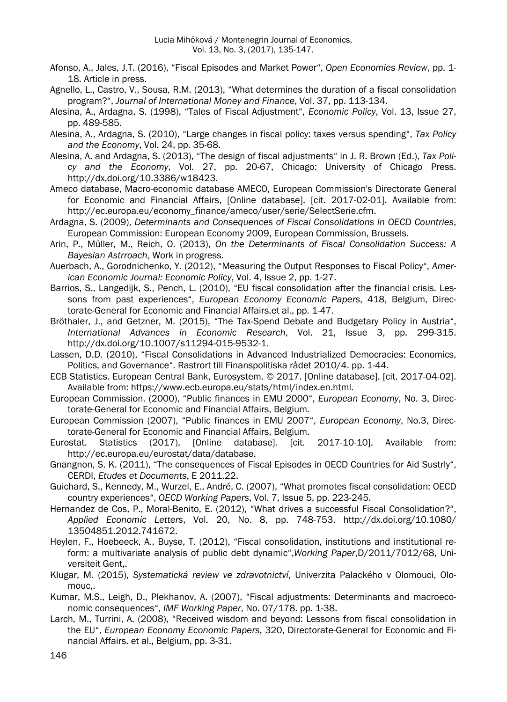- Afonso, A., Jales, J.T. (2016), "Fiscal Episodes and Market Power", *Open Economies Review*, pp. 1- 18. Article in press.
- Agnello, L., Castro, V., Sousa, R.M. (2013), "What determines the duration of a fiscal consolidation program?", *Journal of International Money and Finance*, Vol. 37, pp. 113-134.
- Alesina, A., Ardagna, S. (1998), "Tales of Fiscal Adjustment", *Economic Policy*, Vol. 13, Issue 27, pp. 489-585.
- Alesina, A., Ardagna, S. (2010), "Large changes in fiscal policy: taxes versus spending", *Tax Policy and the Economy*, Vol. 24, pp. 35-68.
- Alesina, A. and Ardagna, S. (2013), "The design of fiscal adjustments" in J. R. Brown (Ed.), *Tax Policy and the Economy*, Vol. 27, pp. 20-67, Chicago: University of Chicago Press. http://dx.doi.org/10.3386/w18423.
- Ameco database, Macro-economic database AMECO, European Commission's Directorate General for Economic and Financial Affairs, [Online database]. [cit. 2017-02-01]. Available from: http://ec.europa.eu/economy\_finance/ameco/user/serie/SelectSerie.cfm.
- Ardagna, S. (2009), *Determinants and Consequences of Fiscal Consolidations in OECD Countries*, European Commission: European Economy 2009, European Commission, Brussels.
- Arin, P., Müller, M., Reich, O. (2013), *On the Determinants of Fiscal Consolidation Success: A Bayesian Astrroach*, Work in progress.
- Auerbach, A., Gorodnichenko, Y. (2012), "Measuring the Output Responses to Fiscal Policy", *American Economic Journal: Economic Policy*, Vol. 4, Issue 2, pp. 1-27.
- Barrios, S., Langedijk, S., Pench, L. (2010), "EU fiscal consolidation after the financial crisis. Lessons from past experiences", *European Economy Economic Papers*, 418, Belgium, Directorate-General for Economic and Financial Affairs.et al., pp. 1-47.
- Bröthaler, J., and Getzner, M. (2015), "The Tax-Spend Debate and Budgetary Policy in Austria", *International Advances in Economic Research*, Vol. 21, Issue 3, pp. 299-315. http://dx.doi.org/10.1007/s11294-015-9532-1.
- Lassen, D.D. (2010), "Fiscal Consolidations in Advanced Industrialized Democracies: Economics, Politics, and Governance". Rastrort till Finanspolitiska rådet 2010/4. pp. 1-44.
- ECB Statistics. European Central Bank, Eurosystem. © 2017. [Online database]. [cit. 2017-04-02]. Available from: https://www.ecb.europa.eu/stats/html/index.en.html.
- European Commission. (2000), "Public finances in EMU 2000", *European Economy*, No. 3, Directorate-General for Economic and Financial Affairs, Belgium.
- European Commission (2007), "Public finances in EMU 2007", *European Economy*, No.3, Directorate-General for Economic and Financial Affairs, Belgium.
- Eurostat. Statistics (2017), [Online database]. [cit. 2017-10-10]. Available from: http://ec.europa.eu/eurostat/data/database.
- Gnangnon, S. K. (2011), "The consequences of Fiscal Episodes in OECD Countries for Aid Sustrly", CERDI, *Etudes et Documents*, E 2011.22.
- Guichard, S., Kennedy, M., Wurzel, E., André, C. (2007), "What promotes fiscal consolidation: OECD country experiences", *OECD Working Papers*, Vol. 7, Issue 5, pp. 223-245.
- Hernandez de Cos, P., Moral-Benito, E. (2012), "What drives a successful Fiscal Consolidation?", *Applied Economic Letters*, Vol. 20, No. 8, pp. 748-753. http://dx.doi.org/10.1080/ 13504851.2012.741672.
- Heylen, F., Hoebeeck, A., Buyse, T. (2012), "Fiscal consolidation, institutions and institutional reform: a multivariate analysis of public debt dynamic",*Working Paper*,D/2011/7012/68, Universiteit Gent,.
- Klugar, M. (2015), *Systematická review ve zdravotnictví*, Univerzita Palackého v Olomouci, Olomouc,.
- Kumar, M.S., Leigh, D., Plekhanov, A. (2007), "Fiscal adjustments: Determinants and macroeconomic consequences", *IMF Working Paper*, No. 07/178. pp. 1-38.
- Larch, M., Turrini, A. (2008), "Received wisdom and beyond: Lessons from fiscal consolidation in the EU", *European Economy Economic Papers*, 320, Directorate-General for Economic and Financial Affairs. et al., Belgium, pp. 3-31.